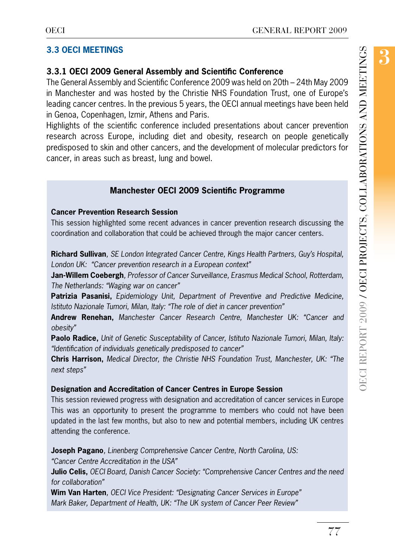The General Assembly and Scientific Conference 2009 was held on 20th – 24th May 2009 in Manchester and was hosted by the Christie NHS Foundation Trust, one of Europe's leading cancer centres. In the previous 5 years, the OECI annual meetings have been held in Genoa, Copenhagen, Izmir, Athens and Paris.

Highlights of the scientific conference included presentations about cancer prevention research across Europe, including diet and obesity, research on people genetically predisposed to skin and other cancers, and the development of molecular predictors for cancer, in areas such as breast, lung and bowel.

# **Manchester OECI 2009 Scientific Programme**

## **Cancer Prevention Research Session**

This session highlighted some recent advances in cancer prevention research discussing the coordination and collaboration that could be achieved through the major cancer centers.

**Richard Sullivan***, SE London Integrated Cancer Centre, Kings Health Partners, Guy's Hospital, London UK: "Cancer prevention research in a European context"* 

**Jan-Willem Coebergh***, Professor of Cancer Surveillance, Erasmus Medical School, Rotterdam, The Netherlands: "Waging war on cancer"* 

**Patrizia Pasanisi,** *Epidemiology Unit, Department of Preventive and Predictive Medicine, Istituto Nazionale Tumori, Milan, Italy: "The role of diet in cancer prevention"* 

**Andrew Renehan,** *Manchester Cancer Research Centre, Manchester UK: "Cancer and obesity"* 

**Paolo Radice,** *Unit of Genetic Susceptability of Cancer, Istituto Nazionale Tumori, Milan, Italy: "Identification of individuals genetically predisposed to cancer"* 

**Chris Harrison,** *Medical Director, the Christie NHS Foundation Trust, Manchester, UK: "The next steps"*

# **Designation and Accreditation of Cancer Centres in Europe Session**

This session reviewed progress with designation and accreditation of cancer services in Europe This was an opportunity to present the programme to members who could not have been updated in the last few months, but also to new and potential members, including UK centres attending the conference.

**Joseph Pagano***, Linenberg Comprehensive Cancer Centre, North Carolina, US:*

*"Cancer Centre Accreditation in the USA"*

**Julio Celis,** *OECI Board, Danish Cancer Society: "Comprehensive Cancer Centres and the need for collaboration"*

**Wim Van Harten***, OECI Vice President: "Designating Cancer Services in Europe" Mark Baker, Department of Health, UK: "The UK system of Cancer Peer Review"*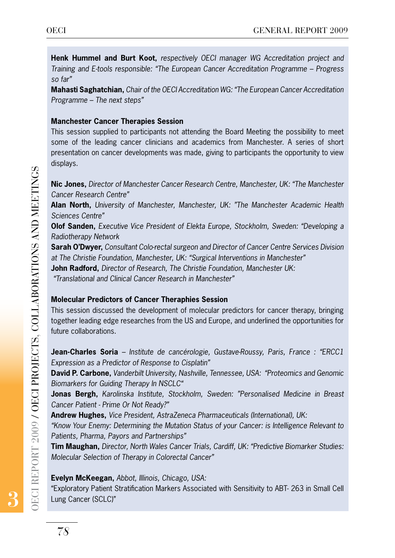**Henk Hummel and Burt Koot,** *respectively OECI manager WG Accreditation project and Training and E-tools responsible: "The European Cancer Accreditation Programme – Progress so far"*

**Mahasti Saghatchian,** *Chair of the OECI Accreditation WG: "The European Cancer Accreditation Programme – The next steps"*

#### **Manchester Cancer Therapies Session**

This session supplied to participants not attending the Board Meeting the possibility to meet some of the leading cancer clinicians and academics from Manchester. A series of short presentation on cancer developments was made, giving to participants the opportunity to view displays.

**Nic Jones,** *Director of Manchester Cancer Research Centre, Manchester, UK: "The Manchester Cancer Research Centre"*

**Alan North,** *University of Manchester, Manchester, UK: "The Manchester Academic Health Sciences Centre"*

**Olof Sanden,** *Executive Vice President of Elekta Europe, Stockholm, Sweden: "Developing a Radiotherapy Network*

**Sarah O'Dwyer,** *Consultant Colo-rectal surgeon and Director of Cancer Centre Services Division at The Christie Foundation, Manchester, UK: "Surgical Interventions in Manchester"*

**John Radford,** *Director of Research, The Christie Foundation, Manchester UK:*

 *"Translational and Clinical Cancer Research in Manchester"*

## **Molecular Predictors of Cancer Theraphies Session**

This session discussed the development of molecular predictors for cancer therapy, bringing together leading edge researches from the US and Europe, and underlined the opportunities for future collaborations. Nic Jones, Director<br>Cancer Research Cer<br>Alan North, Univers<br>Sciences Centre"<br>Olof Sanden, Execu<br>Radiotherapy Networ<br>Sarah O'Dwyer, Con<br>at The Christie Found<br>John Radford, Director<br>"Translational and Cl<br>Molecular Predicto<br>T

**Jean-Charles Soria** *– Institute de cancérologie, Gustave-Roussy, Paris, France : "ERCC1 Expression as a Predictor of Response to Cisplatin"*

**David P. Carbone,** *Vanderbilt University, Nashville, Tennessee, USA: "Proteomics and Genomic Biomarkers for Guiding Therapy In NSCLC"*

**Jonas Bergh,** *Karolinska Institute, Stockholm, Sweden: "Personalised Medicine in Breast Cancer Patient - Prime Or Not Ready?"* 

**Andrew Hughes,** *Vice President, AstraZeneca Pharmaceuticals (International), UK:*

*"Know Your Enemy: Determining the Mutation Status of your Cancer: is Intelligence Relevant to Patients, Pharma, Payors and Partnerships"*

**Tim Maughan,** *Director, North Wales Cancer Trials, Cardiff, UK: "Predictive Biomarker Studies: Molecular Selection of Therapy in Colorectal Cancer"* 

**Evelyn McKeegan,** *Abbot, Illinois, Chicago, USA:*

"Exploratory Patient Stratification Markers Associated with Sensitivity to ABT- 263 in Small Cell